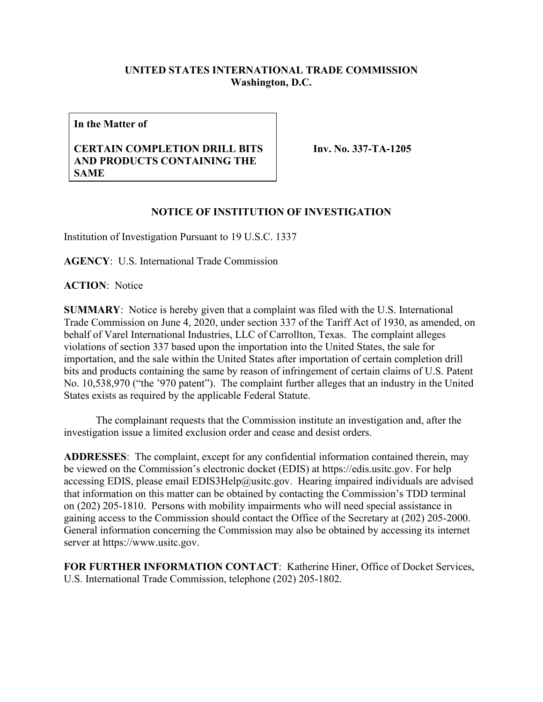## **UNITED STATES INTERNATIONAL TRADE COMMISSION Washington, D.C.**

**In the Matter of**

## **CERTAIN COMPLETION DRILL BITS AND PRODUCTS CONTAINING THE SAME**

**Inv. No. 337-TA-1205**

## **NOTICE OF INSTITUTION OF INVESTIGATION**

Institution of Investigation Pursuant to 19 U.S.C. 1337

**AGENCY**: U.S. International Trade Commission

**ACTION**: Notice

**SUMMARY**: Notice is hereby given that a complaint was filed with the U.S. International Trade Commission on June 4, 2020, under section 337 of the Tariff Act of 1930, as amended, on behalf of Varel International Industries, LLC of Carrollton, Texas. The complaint alleges violations of section 337 based upon the importation into the United States, the sale for importation, and the sale within the United States after importation of certain completion drill bits and products containing the same by reason of infringement of certain claims of U.S. Patent No. 10,538,970 ("the '970 patent"). The complaint further alleges that an industry in the United States exists as required by the applicable Federal Statute.

The complainant requests that the Commission institute an investigation and, after the investigation issue a limited exclusion order and cease and desist orders.

**ADDRESSES**: The complaint, except for any confidential information contained therein, may be viewed on the Commission's electronic docket (EDIS) at https://edis.usitc.gov. For help accessing EDIS, please email EDIS3Help@usitc.gov. Hearing impaired individuals are advised that information on this matter can be obtained by contacting the Commission's TDD terminal on (202) 205-1810. Persons with mobility impairments who will need special assistance in gaining access to the Commission should contact the Office of the Secretary at (202) 205-2000. General information concerning the Commission may also be obtained by accessing its internet server at https://www.usitc.gov.

**FOR FURTHER INFORMATION CONTACT**: Katherine Hiner, Office of Docket Services, U.S. International Trade Commission, telephone (202) 205-1802.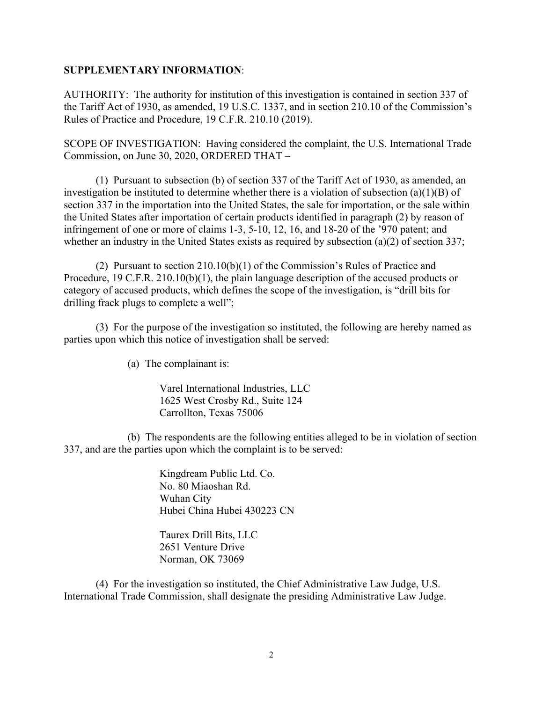## **SUPPLEMENTARY INFORMATION**:

AUTHORITY: The authority for institution of this investigation is contained in section 337 of the Tariff Act of 1930, as amended, 19 U.S.C. 1337, and in section 210.10 of the Commission's Rules of Practice and Procedure, 19 C.F.R. 210.10 (2019).

SCOPE OF INVESTIGATION: Having considered the complaint, the U.S. International Trade Commission, on June 30, 2020, ORDERED THAT –

(1) Pursuant to subsection (b) of section 337 of the Tariff Act of 1930, as amended, an investigation be instituted to determine whether there is a violation of subsection (a)(1)(B) of section 337 in the importation into the United States, the sale for importation, or the sale within the United States after importation of certain products identified in paragraph (2) by reason of infringement of one or more of claims 1-3, 5-10, 12, 16, and 18-20 of the '970 patent; and whether an industry in the United States exists as required by subsection (a)(2) of section 337;

(2) Pursuant to section 210.10(b)(1) of the Commission's Rules of Practice and Procedure, 19 C.F.R. 210.10(b)(1), the plain language description of the accused products or category of accused products, which defines the scope of the investigation, is "drill bits for drilling frack plugs to complete a well";

(3) For the purpose of the investigation so instituted, the following are hereby named as parties upon which this notice of investigation shall be served:

(a) The complainant is:

Varel International Industries, LLC 1625 West Crosby Rd., Suite 124 Carrollton, Texas 75006

(b) The respondents are the following entities alleged to be in violation of section 337, and are the parties upon which the complaint is to be served:

> Kingdream Public Ltd. Co. No. 80 Miaoshan Rd. Wuhan City Hubei China Hubei 430223 CN

Taurex Drill Bits, LLC 2651 Venture Drive Norman, OK 73069

(4) For the investigation so instituted, the Chief Administrative Law Judge, U.S. International Trade Commission, shall designate the presiding Administrative Law Judge.